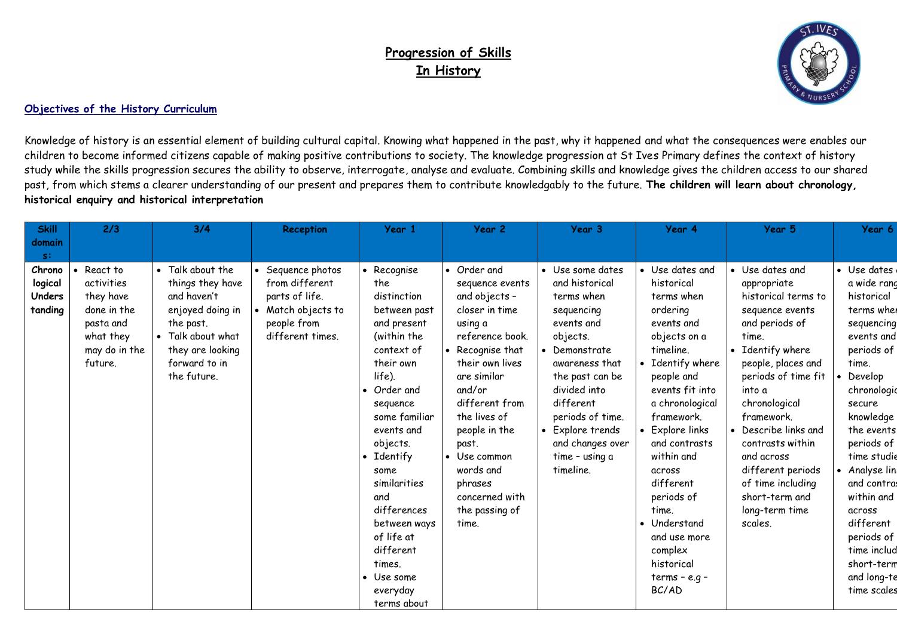## **Progression of Skills In History**



## **Objectives of the History Curriculum**

Knowledge of history is an essential element of building cultural capital. Knowing what happened in the past, why it happened and what the consequences were enables our children to become informed citizens capable of making positive contributions to society. The knowledge progression at St Ives Primary defines the context of history study while the skills progression secures the ability to observe, interrogate, analyse and evaluate. Combining skills and knowledge gives the children access to our shared past, from which stems a clearer understanding of our present and prepares them to contribute knowledgably to the future. **The children will learn about chronology, historical enquiry and historical interpretation**

| <b>Skill</b><br>2/3                                                                                                                                | 3/4                                                                                                                                                           | Reception                                                                                                      | Year 1                                                                                                                                                                                                                                                                                                                                             | Year 2                                                                                                                                                                                                                                                                                                         | Year 3                                                                                                                                                                                                                                                                          | Year 4                                                                                                                                                                                                                                                                                                                                                                        | Year 5                                                                                                                                                                                                                                                                                                                                                           | Year 6                                                                                                                                                                                                                                                                                                                                               |
|----------------------------------------------------------------------------------------------------------------------------------------------------|---------------------------------------------------------------------------------------------------------------------------------------------------------------|----------------------------------------------------------------------------------------------------------------|----------------------------------------------------------------------------------------------------------------------------------------------------------------------------------------------------------------------------------------------------------------------------------------------------------------------------------------------------|----------------------------------------------------------------------------------------------------------------------------------------------------------------------------------------------------------------------------------------------------------------------------------------------------------------|---------------------------------------------------------------------------------------------------------------------------------------------------------------------------------------------------------------------------------------------------------------------------------|-------------------------------------------------------------------------------------------------------------------------------------------------------------------------------------------------------------------------------------------------------------------------------------------------------------------------------------------------------------------------------|------------------------------------------------------------------------------------------------------------------------------------------------------------------------------------------------------------------------------------------------------------------------------------------------------------------------------------------------------------------|------------------------------------------------------------------------------------------------------------------------------------------------------------------------------------------------------------------------------------------------------------------------------------------------------------------------------------------------------|
| domain<br>$S^{\pm}$                                                                                                                                |                                                                                                                                                               |                                                                                                                |                                                                                                                                                                                                                                                                                                                                                    |                                                                                                                                                                                                                                                                                                                |                                                                                                                                                                                                                                                                                 |                                                                                                                                                                                                                                                                                                                                                                               |                                                                                                                                                                                                                                                                                                                                                                  |                                                                                                                                                                                                                                                                                                                                                      |
| Chrono<br>React to<br>logical<br>activities<br>Unders<br>they have<br>tanding<br>done in the<br>pasta and<br>what they<br>may do in the<br>future. | • Talk about the<br>things they have<br>and haven't<br>enjoyed doing in<br>the past.<br>• Talk about what<br>they are looking<br>forward to in<br>the future. | • Sequence photos<br>from different<br>parts of life.<br>• Match objects to<br>people from<br>different times. | • Recognise<br>the<br>distinction<br>between past<br>and present<br>(within the<br>context of<br>their own<br>life).<br>Order and<br>sequence<br>some familiar<br>events and<br>objects.<br>• Identify<br>some<br>similarities<br>and<br>differences<br>between ways<br>of life at<br>different<br>times.<br>• Use some<br>everyday<br>terms about | • Order and<br>sequence events<br>and objects -<br>closer in time<br>using a<br>reference book.<br>Recognise that<br>their own lives<br>are similar<br>and/or<br>different from<br>the lives of<br>people in the<br>past.<br>• Use common<br>words and<br>phrases<br>concerned with<br>the passing of<br>time. | • Use some dates<br>and historical<br>terms when<br>sequencing<br>events and<br>objects.<br>Demonstrate<br>awareness that<br>the past can be<br>divided into<br>different<br>periods of time.<br>Explore trends<br>$\bullet$<br>and changes over<br>time - using a<br>timeline. | • Use dates and<br>historical<br>terms when<br>ordering<br>events and<br>objects on a<br>timeline.<br>• Identify where<br>people and<br>events fit into<br>a chronological<br>framework.<br>• Explore links<br>and contrasts<br>within and<br>across<br>different<br>periods of<br>time.<br>• Understand<br>and use more<br>complex<br>historical<br>$terms - e.g -$<br>BC/AD | • Use dates and<br>appropriate<br>historical terms to<br>sequence events<br>and periods of<br>time.<br>• Identify where<br>people, places and<br>periods of time fit<br>into a<br>chronological<br>framework.<br>• Describe links and<br>contrasts within<br>and across<br>different periods<br>of time including<br>short-term and<br>long-term time<br>scales. | • Use dates<br>a wide rand<br>historical<br>terms when<br>sequencing<br>events and<br>periods of<br>time.<br>Develop<br>chronologic<br>secure<br>knowledge<br>the events<br>periods of<br>time studie<br>• Analyse linl<br>and contras<br>within and<br>across<br>different<br>periods of<br>time includ<br>short-term<br>and long-te<br>time scales |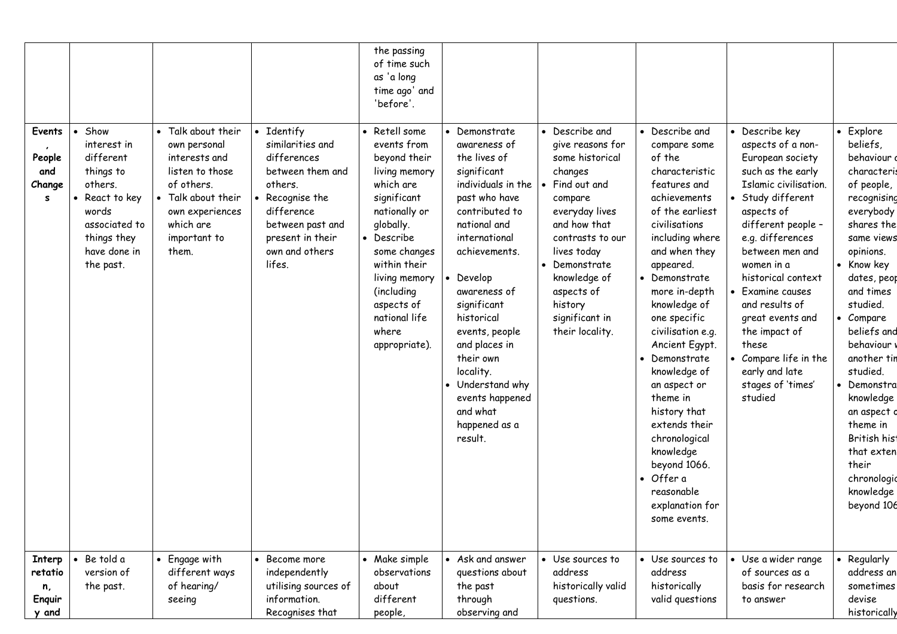|                                            |                                                                                                                                                |                                                                                                                                                                     |                                                                                                                                                                                 | the passing<br>of time such<br>as 'a long<br>time ago' and<br>'before'.                                                                                                                                                                                       |                                                                                                                                                                                                                                                                                                                                                                             |                                                                                                                                                                                                                                                               |                                                                                                                                                                                                                                                                                                                                                                                                                                                                                                |                                                                                                                                                                                                                                                                                                                                                                                                          |                                                                                                                                                                                                                                                                                                                                                                                                          |
|--------------------------------------------|------------------------------------------------------------------------------------------------------------------------------------------------|---------------------------------------------------------------------------------------------------------------------------------------------------------------------|---------------------------------------------------------------------------------------------------------------------------------------------------------------------------------|---------------------------------------------------------------------------------------------------------------------------------------------------------------------------------------------------------------------------------------------------------------|-----------------------------------------------------------------------------------------------------------------------------------------------------------------------------------------------------------------------------------------------------------------------------------------------------------------------------------------------------------------------------|---------------------------------------------------------------------------------------------------------------------------------------------------------------------------------------------------------------------------------------------------------------|------------------------------------------------------------------------------------------------------------------------------------------------------------------------------------------------------------------------------------------------------------------------------------------------------------------------------------------------------------------------------------------------------------------------------------------------------------------------------------------------|----------------------------------------------------------------------------------------------------------------------------------------------------------------------------------------------------------------------------------------------------------------------------------------------------------------------------------------------------------------------------------------------------------|----------------------------------------------------------------------------------------------------------------------------------------------------------------------------------------------------------------------------------------------------------------------------------------------------------------------------------------------------------------------------------------------------------|
| Events<br>People<br>and<br>Change<br>s     | Show<br>interest in<br>different<br>things to<br>others.<br>React to key<br>words<br>associated to<br>things they<br>have done in<br>the past. | • Talk about their<br>own personal<br>interests and<br>listen to those<br>of others.<br>• Talk about their<br>own experiences<br>which are<br>important to<br>them. | • Identify<br>similarities and<br>differences<br>between them and<br>others.<br>Recognise the<br>difference<br>between past and<br>present in their<br>own and others<br>lifes. | • Retell some<br>events from<br>beyond their<br>living memory<br>which are<br>significant<br>nationally or<br>globally.<br>• Describe<br>some changes<br>within their<br>living memory<br>(including<br>aspects of<br>national life<br>where<br>appropriate). | • Demonstrate<br>awareness of<br>the lives of<br>significant<br>individuals in the<br>past who have<br>contributed to<br>national and<br>international<br>achievements.<br>Develop<br>awareness of<br>significant<br>historical<br>events, people<br>and places in<br>their own<br>locality.<br>• Understand why<br>events happened<br>and what<br>happened as a<br>result. | • Describe and<br>give reasons for<br>some historical<br>changes<br>Find out and<br>compare<br>everyday lives<br>and how that<br>contrasts to our<br>lives today<br>Demonstrate<br>knowledge of<br>aspects of<br>history<br>significant in<br>their locality. | • Describe and<br>compare some<br>of the<br>characteristic<br>features and<br>achievements<br>of the earliest<br>civilisations<br>including where<br>and when they<br>appeared.<br>Demonstrate<br>more in-depth<br>knowledge of<br>one specific<br>civilisation e.g.<br>Ancient Egypt.<br>Demonstrate<br>knowledge of<br>an aspect or<br>theme in<br>history that<br>extends their<br>chronological<br>knowledge<br>beyond 1066.<br>• Offer a<br>reasonable<br>explanation for<br>some events. | • Describe key<br>aspects of a non-<br>European society<br>such as the early<br>Islamic civilisation.<br>• Study different<br>aspects of<br>different people -<br>e.g. differences<br>between men and<br>women in a<br>historical context<br>• Examine causes<br>and results of<br>great events and<br>the impact of<br>these<br>• Compare life in the<br>early and late<br>stages of 'times'<br>studied | • Explore<br>beliefs,<br>behaviour d<br>characteris<br>of people,<br>recognising<br>everybody<br>shares the<br>same views<br>opinions.<br>• Know key<br>dates, peop<br>and times<br>studied.<br>• Compare<br>beliefs and<br>behaviour<br>another tin<br>studied.<br>• Demonstra<br>knowledge<br>an aspect o<br>theme in<br>British hist<br>that exten<br>their<br>chronologic<br>knowledge<br>beyond 106 |
| Interp<br>retatio<br>n,<br>Enquir<br>y and | Be told a<br>version of<br>the past.                                                                                                           | • Engage with<br>different ways<br>of hearing/<br>seeing                                                                                                            | • Become more<br>independently<br>utilising sources of<br>information.<br>Recognises that                                                                                       | • Make simple<br>observations<br>about<br>different<br>people,                                                                                                                                                                                                | • Ask and answer<br>questions about<br>the past<br>through<br>observing and                                                                                                                                                                                                                                                                                                 | • Use sources to<br>address<br>historically valid<br>questions.                                                                                                                                                                                               | • Use sources to<br>address<br>historically<br>valid questions                                                                                                                                                                                                                                                                                                                                                                                                                                 | • Use a wider range<br>of sources as a<br>basis for research<br>to answer                                                                                                                                                                                                                                                                                                                                | • Regularly<br>address an<br>sometimes<br>devise<br>historically                                                                                                                                                                                                                                                                                                                                         |